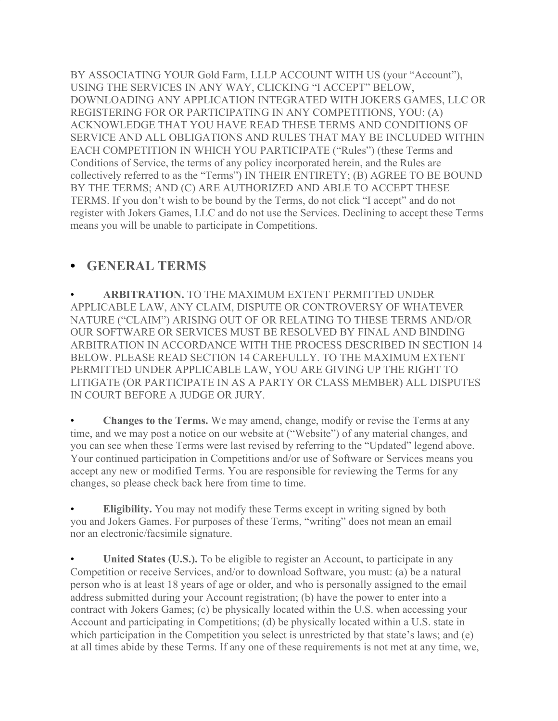BY ASSOCIATING YOUR Gold Farm, LLLP ACCOUNT WITH US (your "Account"), USING THE SERVICES IN ANY WAY, CLICKING "I ACCEPT" BELOW, DOWNLOADING ANY APPLICATION INTEGRATED WITH JOKERS GAMES, LLC OR REGISTERING FOR OR PARTICIPATING IN ANY COMPETITIONS, YOU: (A) ACKNOWLEDGE THAT YOU HAVE READ THESE TERMS AND CONDITIONS OF SERVICE AND ALL OBLIGATIONS AND RULES THAT MAY BE INCLUDED WITHIN EACH COMPETITION IN WHICH YOU PARTICIPATE ("Rules") (these Terms and Conditions of Service, the terms of any policy incorporated herein, and the Rules are collectively referred to as the "Terms") IN THEIR ENTIRETY; (B) AGREE TO BE BOUND BY THE TERMS; AND (C) ARE AUTHORIZED AND ABLE TO ACCEPT THESE TERMS. If you don't wish to be bound by the Terms, do not click "I accept" and do not register with Jokers Games, LLC and do not use the Services. Declining to accept these Terms means you will be unable to participate in Competitions.

#### **• GENERAL TERMS**

• **ARBITRATION.** TO THE MAXIMUM EXTENT PERMITTED UNDER APPLICABLE LAW, ANY CLAIM, DISPUTE OR CONTROVERSY OF WHATEVER NATURE ("CLAIM") ARISING OUT OF OR RELATING TO THESE TERMS AND/OR OUR SOFTWARE OR SERVICES MUST BE RESOLVED BY FINAL AND BINDING ARBITRATION IN ACCORDANCE WITH THE PROCESS DESCRIBED IN SECTION 14 BELOW. PLEASE READ SECTION 14 CAREFULLY. TO THE MAXIMUM EXTENT PERMITTED UNDER APPLICABLE LAW, YOU ARE GIVING UP THE RIGHT TO LITIGATE (OR PARTICIPATE IN AS A PARTY OR CLASS MEMBER) ALL DISPUTES IN COURT BEFORE A JUDGE OR JURY.

• **Changes to the Terms.** We may amend, change, modify or revise the Terms at any time, and we may post a notice on our website at ("Website") of any material changes, and you can see when these Terms were last revised by referring to the "Updated" legend above. Your continued participation in Competitions and/or use of Software or Services means you accept any new or modified Terms. You are responsible for reviewing the Terms for any changes, so please check back here from time to time.

**Eligibility.** You may not modify these Terms except in writing signed by both you and Jokers Games. For purposes of these Terms, "writing" does not mean an email nor an electronic/facsimile signature.

United States (U.S.). To be eligible to register an Account, to participate in any Competition or receive Services, and/or to download Software, you must: (a) be a natural person who is at least 18 years of age or older, and who is personally assigned to the email address submitted during your Account registration; (b) have the power to enter into a contract with Jokers Games; (c) be physically located within the U.S. when accessing your Account and participating in Competitions; (d) be physically located within a U.S. state in which participation in the Competition you select is unrestricted by that state's laws; and (e) at all times abide by these Terms. If any one of these requirements is not met at any time, we,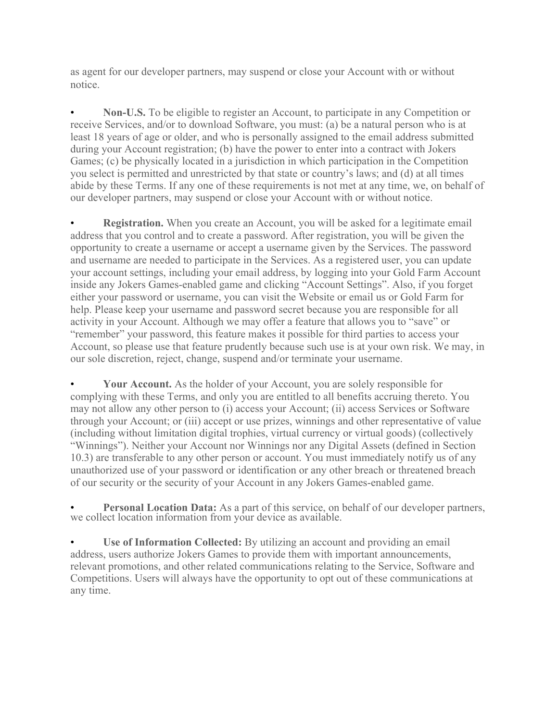as agent for our developer partners, may suspend or close your Account with or without notice.

• **Non-U.S.** To be eligible to register an Account, to participate in any Competition or receive Services, and/or to download Software, you must: (a) be a natural person who is at least 18 years of age or older, and who is personally assigned to the email address submitted during your Account registration; (b) have the power to enter into a contract with Jokers Games; (c) be physically located in a jurisdiction in which participation in the Competition you select is permitted and unrestricted by that state or country's laws; and (d) at all times abide by these Terms. If any one of these requirements is not met at any time, we, on behalf of our developer partners, may suspend or close your Account with or without notice.

**Registration.** When you create an Account, you will be asked for a legitimate email address that you control and to create a password. After registration, you will be given the opportunity to create a username or accept a username given by the Services. The password and username are needed to participate in the Services. As a registered user, you can update your account settings, including your email address, by logging into your Gold Farm Account inside any Jokers Games-enabled game and clicking "Account Settings". Also, if you forget either your password or username, you can visit the Website or email us or Gold Farm for help. Please keep your username and password secret because you are responsible for all activity in your Account. Although we may offer a feature that allows you to "save" or "remember" your password, this feature makes it possible for third parties to access your Account, so please use that feature prudently because such use is at your own risk. We may, in our sole discretion, reject, change, suspend and/or terminate your username.

• **Your Account.** As the holder of your Account, you are solely responsible for complying with these Terms, and only you are entitled to all benefits accruing thereto. You may not allow any other person to (i) access your Account; (ii) access Services or Software through your Account; or (iii) accept or use prizes, winnings and other representative of value (including without limitation digital trophies, virtual currency or virtual goods) (collectively "Winnings"). Neither your Account nor Winnings nor any Digital Assets (defined in Section 10.3) are transferable to any other person or account. You must immediately notify us of any unauthorized use of your password or identification or any other breach or threatened breach of our security or the security of your Account in any Jokers Games-enabled game.

Personal Location Data: As a part of this service, on behalf of our developer partners, we collect location information from your device as available.

• **Use of Information Collected:** By utilizing an account and providing an email address, users authorize Jokers Games to provide them with important announcements, relevant promotions, and other related communications relating to the Service, Software and Competitions. Users will always have the opportunity to opt out of these communications at any time.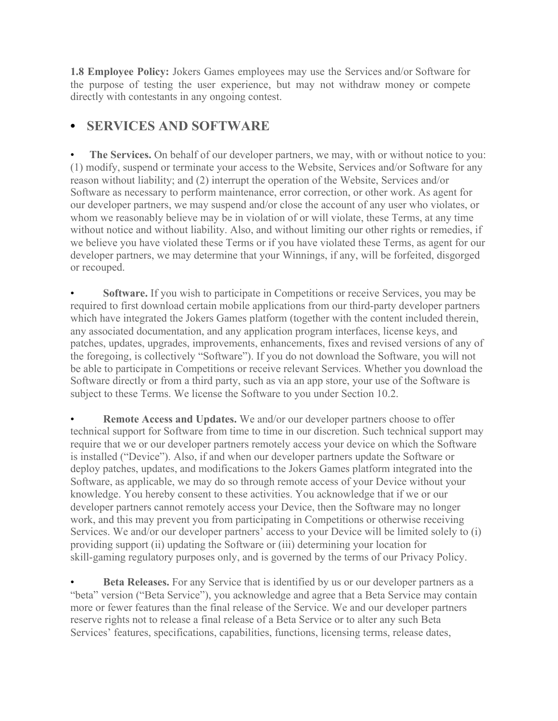**1.8 Employee Policy:** Jokers Games employees may use the Services and/or Software for the purpose of testing the user experience, but may not withdraw money or compete directly with contestants in any ongoing contest.

### **• SERVICES AND SOFTWARE**

The Services. On behalf of our developer partners, we may, with or without notice to you: (1) modify, suspend or terminate your access to the Website, Services and/or Software for any reason without liability; and (2) interrupt the operation of the Website, Services and/or Software as necessary to perform maintenance, error correction, or other work. As agent for our developer partners, we may suspend and/or close the account of any user who violates, or whom we reasonably believe may be in violation of or will violate, these Terms, at any time without notice and without liability. Also, and without limiting our other rights or remedies, if we believe you have violated these Terms or if you have violated these Terms, as agent for our developer partners, we may determine that your Winnings, if any, will be forfeited, disgorged or recouped.

**Software.** If you wish to participate in Competitions or receive Services, you may be required to first download certain mobile applications from our third-party developer partners which have integrated the Jokers Games platform (together with the content included therein, any associated documentation, and any application program interfaces, license keys, and patches, updates, upgrades, improvements, enhancements, fixes and revised versions of any of the foregoing, is collectively "Software"). If you do not download the Software, you will not be able to participate in Competitions or receive relevant Services. Whether you download the Software directly or from a third party, such as via an app store, your use of the Software is subject to these Terms. We license the Software to you under Section 10.2.

• **Remote Access and Updates.** We and/or our developer partners choose to offer technical support for Software from time to time in our discretion. Such technical support may require that we or our developer partners remotely access your device on which the Software is installed ("Device"). Also, if and when our developer partners update the Software or deploy patches, updates, and modifications to the Jokers Games platform integrated into the Software, as applicable, we may do so through remote access of your Device without your knowledge. You hereby consent to these activities. You acknowledge that if we or our developer partners cannot remotely access your Device, then the Software may no longer work, and this may prevent you from participating in Competitions or otherwise receiving Services. We and/or our developer partners' access to your Device will be limited solely to (i) providing support (ii) updating the Software or (iii) determining your location for skill-gaming regulatory purposes only, and is governed by the terms of our Privacy Policy.

**Beta Releases.** For any Service that is identified by us or our developer partners as a "beta" version ("Beta Service"), you acknowledge and agree that a Beta Service may contain more or fewer features than the final release of the Service. We and our developer partners reserve rights not to release a final release of a Beta Service or to alter any such Beta Services' features, specifications, capabilities, functions, licensing terms, release dates,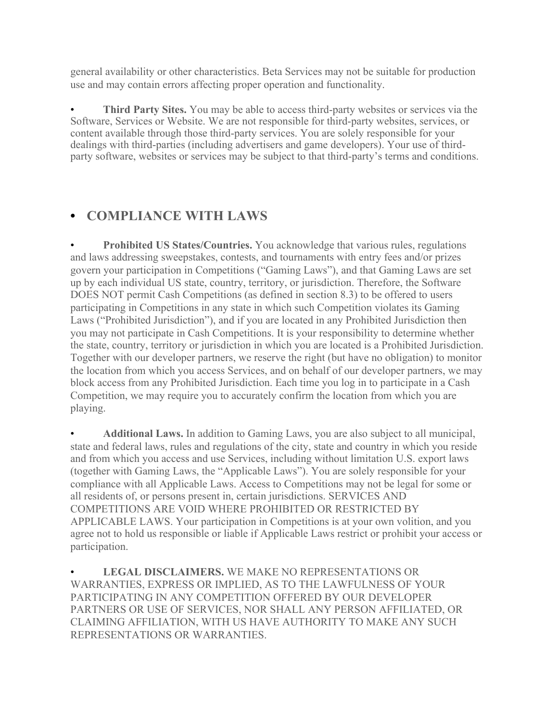general availability or other characteristics. Beta Services may not be suitable for production use and may contain errors affecting proper operation and functionality.

**Third Party Sites.** You may be able to access third-party websites or services via the Software, Services or Website. We are not responsible for third-party websites, services, or content available through those third-party services. You are solely responsible for your dealings with third-parties (including advertisers and game developers). Your use of thirdparty software, websites or services may be subject to that third-party's terms and conditions.

## **• COMPLIANCE WITH LAWS**

• **Prohibited US States/Countries.** You acknowledge that various rules, regulations and laws addressing sweepstakes, contests, and tournaments with entry fees and/or prizes govern your participation in Competitions ("Gaming Laws"), and that Gaming Laws are set up by each individual US state, country, territory, or jurisdiction. Therefore, the Software DOES NOT permit Cash Competitions (as defined in section 8.3) to be offered to users participating in Competitions in any state in which such Competition violates its Gaming Laws ("Prohibited Jurisdiction"), and if you are located in any Prohibited Jurisdiction then you may not participate in Cash Competitions. It is your responsibility to determine whether the state, country, territory or jurisdiction in which you are located is a Prohibited Jurisdiction. Together with our developer partners, we reserve the right (but have no obligation) to monitor the location from which you access Services, and on behalf of our developer partners, we may block access from any Prohibited Jurisdiction. Each time you log in to participate in a Cash Competition, we may require you to accurately confirm the location from which you are playing.

• **Additional Laws.** In addition to Gaming Laws, you are also subject to all municipal, state and federal laws, rules and regulations of the city, state and country in which you reside and from which you access and use Services, including without limitation U.S. export laws (together with Gaming Laws, the "Applicable Laws"). You are solely responsible for your compliance with all Applicable Laws. Access to Competitions may not be legal for some or all residents of, or persons present in, certain jurisdictions. SERVICES AND COMPETITIONS ARE VOID WHERE PROHIBITED OR RESTRICTED BY APPLICABLE LAWS. Your participation in Competitions is at your own volition, and you agree not to hold us responsible or liable if Applicable Laws restrict or prohibit your access or participation.

• **LEGAL DISCLAIMERS.** WE MAKE NO REPRESENTATIONS OR WARRANTIES, EXPRESS OR IMPLIED, AS TO THE LAWFULNESS OF YOUR PARTICIPATING IN ANY COMPETITION OFFERED BY OUR DEVELOPER PARTNERS OR USE OF SERVICES, NOR SHALL ANY PERSON AFFILIATED, OR CLAIMING AFFILIATION, WITH US HAVE AUTHORITY TO MAKE ANY SUCH REPRESENTATIONS OR WARRANTIES.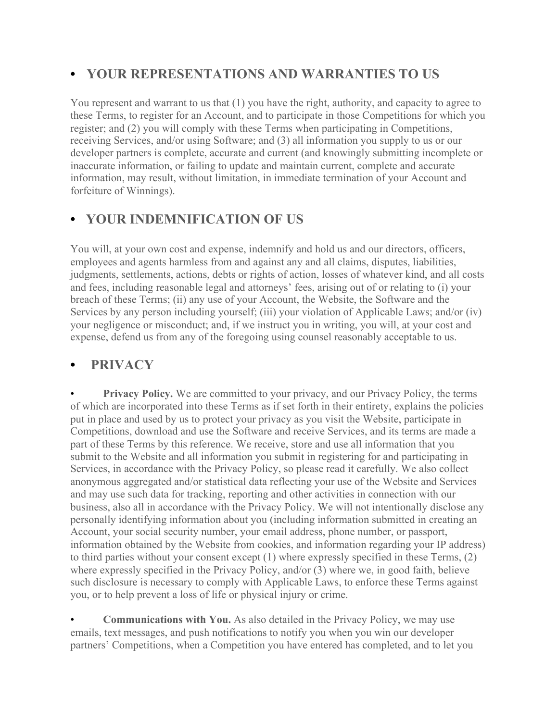## **• YOUR REPRESENTATIONS AND WARRANTIES TO US**

You represent and warrant to us that (1) you have the right, authority, and capacity to agree to these Terms, to register for an Account, and to participate in those Competitions for which you register; and (2) you will comply with these Terms when participating in Competitions, receiving Services, and/or using Software; and (3) all information you supply to us or our developer partners is complete, accurate and current (and knowingly submitting incomplete or inaccurate information, or failing to update and maintain current, complete and accurate information, may result, without limitation, in immediate termination of your Account and forfeiture of Winnings).

# **• YOUR INDEMNIFICATION OF US**

You will, at your own cost and expense, indemnify and hold us and our directors, officers, employees and agents harmless from and against any and all claims, disputes, liabilities, judgments, settlements, actions, debts or rights of action, losses of whatever kind, and all costs and fees, including reasonable legal and attorneys' fees, arising out of or relating to (i) your breach of these Terms; (ii) any use of your Account, the Website, the Software and the Services by any person including yourself; (iii) your violation of Applicable Laws; and/or (iv) your negligence or misconduct; and, if we instruct you in writing, you will, at your cost and expense, defend us from any of the foregoing using counsel reasonably acceptable to us.

#### **• PRIVACY**

**Privacy Policy.** We are committed to your privacy, and our Privacy Policy, the terms of which are incorporated into these Terms as if set forth in their entirety, explains the policies put in place and used by us to protect your privacy as you visit the Website, participate in Competitions, download and use the Software and receive Services, and its terms are made a part of these Terms by this reference. We receive, store and use all information that you submit to the Website and all information you submit in registering for and participating in Services, in accordance with the Privacy Policy, so please read it carefully. We also collect anonymous aggregated and/or statistical data reflecting your use of the Website and Services and may use such data for tracking, reporting and other activities in connection with our business, also all in accordance with the Privacy Policy. We will not intentionally disclose any personally identifying information about you (including information submitted in creating an Account, your social security number, your email address, phone number, or passport, information obtained by the Website from cookies, and information regarding your IP address) to third parties without your consent except (1) where expressly specified in these Terms, (2) where expressly specified in the Privacy Policy, and/or (3) where we, in good faith, believe such disclosure is necessary to comply with Applicable Laws, to enforce these Terms against you, or to help prevent a loss of life or physical injury or crime.

• **Communications with You.** As also detailed in the Privacy Policy, we may use emails, text messages, and push notifications to notify you when you win our developer partners' Competitions, when a Competition you have entered has completed, and to let you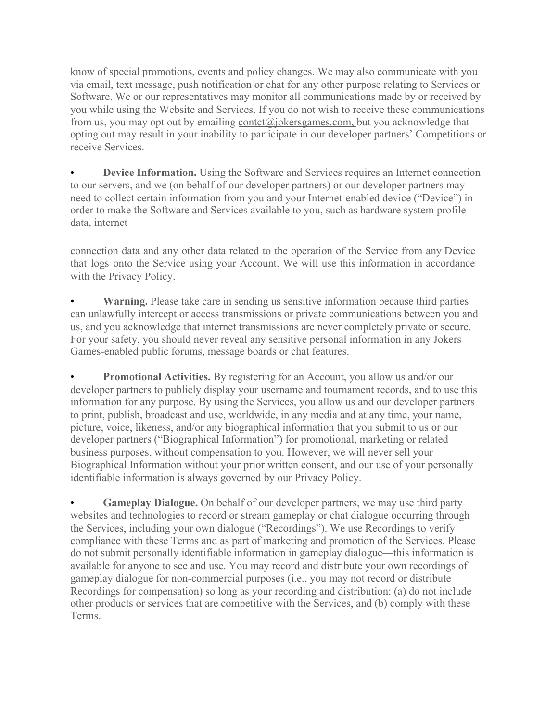know of special promotions, events and policy changes. We may also communicate with you via email, text message, push notification or chat for any other purpose relating to Services or Software. We or our representatives may monitor all communications made by or received by you while using the Website and Services. If you do not wish to receive these communications from us, you may opt out by emailing contet@jokersgames.com, but you acknowledge that opting out may result in your inability to participate in our developer partners' Competitions or receive Services.

**Device Information.** Using the Software and Services requires an Internet connection to our servers, and we (on behalf of our developer partners) or our developer partners may need to collect certain information from you and your Internet-enabled device ("Device") in order to make the Software and Services available to you, such as hardware system profile data, internet

connection data and any other data related to the operation of the Service from any Device that logs onto the Service using your Account. We will use this information in accordance with the Privacy Policy.

**Warning.** Please take care in sending us sensitive information because third parties can unlawfully intercept or access transmissions or private communications between you and us, and you acknowledge that internet transmissions are never completely private or secure. For your safety, you should never reveal any sensitive personal information in any Jokers Games-enabled public forums, message boards or chat features.

**Promotional Activities.** By registering for an Account, you allow us and/or our developer partners to publicly display your username and tournament records, and to use this information for any purpose. By using the Services, you allow us and our developer partners to print, publish, broadcast and use, worldwide, in any media and at any time, your name, picture, voice, likeness, and/or any biographical information that you submit to us or our developer partners ("Biographical Information") for promotional, marketing or related business purposes, without compensation to you. However, we will never sell your Biographical Information without your prior written consent, and our use of your personally identifiable information is always governed by our Privacy Policy.

• **Gameplay Dialogue.** On behalf of our developer partners, we may use third party websites and technologies to record or stream gameplay or chat dialogue occurring through the Services, including your own dialogue ("Recordings"). We use Recordings to verify compliance with these Terms and as part of marketing and promotion of the Services. Please do not submit personally identifiable information in gameplay dialogue—this information is available for anyone to see and use. You may record and distribute your own recordings of gameplay dialogue for non-commercial purposes (i.e., you may not record or distribute Recordings for compensation) so long as your recording and distribution: (a) do not include other products or services that are competitive with the Services, and (b) comply with these Terms.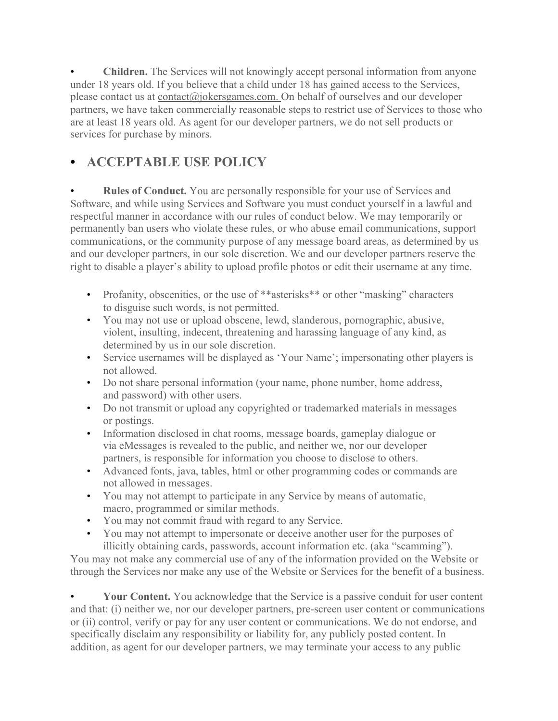• **Children.** The Services will not knowingly accept personal information from anyone under 18 years old. If you believe that a child under 18 has gained access to the Services, please contact us at [contact@jokersgames.com.](mailto:contact@jokersgames.com) On behalf of ourselves and our developer partners, we have taken commercially reasonable steps to restrict use of Services to those who are at least 18 years old. As agent for our developer partners, we do not sell products or services for purchase by minors.

# **• ACCEPTABLE USE POLICY**

**Rules of Conduct.** You are personally responsible for your use of Services and Software, and while using Services and Software you must conduct yourself in a lawful and respectful manner in accordance with our rules of conduct below. We may temporarily or permanently ban users who violate these rules, or who abuse email communications, support communications, or the community purpose of any message board areas, as determined by us and our developer partners, in our sole discretion. We and our developer partners reserve the right to disable a player's ability to upload profile photos or edit their username at any time.

- Profanity, obscenities, or the use of \*\*asterisks\*\* or other "masking" characters to disguise such words, is not permitted.
- You may not use or upload obscene, lewd, slanderous, pornographic, abusive, violent, insulting, indecent, threatening and harassing language of any kind, as determined by us in our sole discretion.
- Service usernames will be displayed as 'Your Name'; impersonating other players is not allowed.
- Do not share personal information (your name, phone number, home address, and password) with other users.
- Do not transmit or upload any copyrighted or trademarked materials in messages or postings.
- Information disclosed in chat rooms, message boards, gameplay dialogue or via eMessages is revealed to the public, and neither we, nor our developer partners, is responsible for information you choose to disclose to others.
- Advanced fonts, java, tables, html or other programming codes or commands are not allowed in messages.
- You may not attempt to participate in any Service by means of automatic, macro, programmed or similar methods.
- You may not commit fraud with regard to any Service.
- You may not attempt to impersonate or deceive another user for the purposes of illicitly obtaining cards, passwords, account information etc. (aka "scamming").

You may not make any commercial use of any of the information provided on the Website or through the Services nor make any use of the Website or Services for the benefit of a business.

Your Content. You acknowledge that the Service is a passive conduit for user content and that: (i) neither we, nor our developer partners, pre-screen user content or communications or (ii) control, verify or pay for any user content or communications. We do not endorse, and specifically disclaim any responsibility or liability for, any publicly posted content. In addition, as agent for our developer partners, we may terminate your access to any public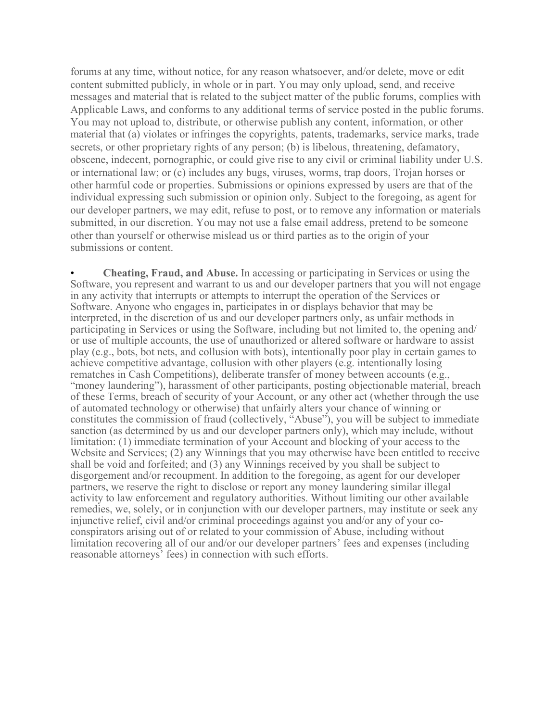forums at any time, without notice, for any reason whatsoever, and/or delete, move or edit content submitted publicly, in whole or in part. You may only upload, send, and receive messages and material that is related to the subject matter of the public forums, complies with Applicable Laws, and conforms to any additional terms of service posted in the public forums. You may not upload to, distribute, or otherwise publish any content, information, or other material that (a) violates or infringes the copyrights, patents, trademarks, service marks, trade secrets, or other proprietary rights of any person; (b) is libelous, threatening, defamatory, obscene, indecent, pornographic, or could give rise to any civil or criminal liability under U.S. or international law; or (c) includes any bugs, viruses, worms, trap doors, Trojan horses or other harmful code or properties. Submissions or opinions expressed by users are that of the individual expressing such submission or opinion only. Subject to the foregoing, as agent for our developer partners, we may edit, refuse to post, or to remove any information or materials submitted, in our discretion. You may not use a false email address, pretend to be someone other than yourself or otherwise mislead us or third parties as to the origin of your submissions or content.

• **Cheating, Fraud, and Abuse.** In accessing or participating in Services or using the Software, you represent and warrant to us and our developer partners that you will not engage in any activity that interrupts or attempts to interrupt the operation of the Services or Software. Anyone who engages in, participates in or displays behavior that may be interpreted, in the discretion of us and our developer partners only, as unfair methods in participating in Services or using the Software, including but not limited to, the opening and/ or use of multiple accounts, the use of unauthorized or altered software or hardware to assist play (e.g., bots, bot nets, and collusion with bots), intentionally poor play in certain games to achieve competitive advantage, collusion with other players (e.g. intentionally losing rematches in Cash Competitions), deliberate transfer of money between accounts (e.g., "money laundering"), harassment of other participants, posting objectionable material, breach of these Terms, breach of security of your Account, or any other act (whether through the use of automated technology or otherwise) that unfairly alters your chance of winning or constitutes the commission of fraud (collectively, "Abuse"), you will be subject to immediate sanction (as determined by us and our developer partners only), which may include, without limitation: (1) immediate termination of your Account and blocking of your access to the Website and Services; (2) any Winnings that you may otherwise have been entitled to receive shall be void and forfeited; and (3) any Winnings received by you shall be subject to disgorgement and/or recoupment. In addition to the foregoing, as agent for our developer partners, we reserve the right to disclose or report any money laundering similar illegal activity to law enforcement and regulatory authorities. Without limiting our other available remedies, we, solely, or in conjunction with our developer partners, may institute or seek any injunctive relief, civil and/or criminal proceedings against you and/or any of your coconspirators arising out of or related to your commission of Abuse, including without limitation recovering all of our and/or our developer partners' fees and expenses (including reasonable attorneys' fees) in connection with such efforts.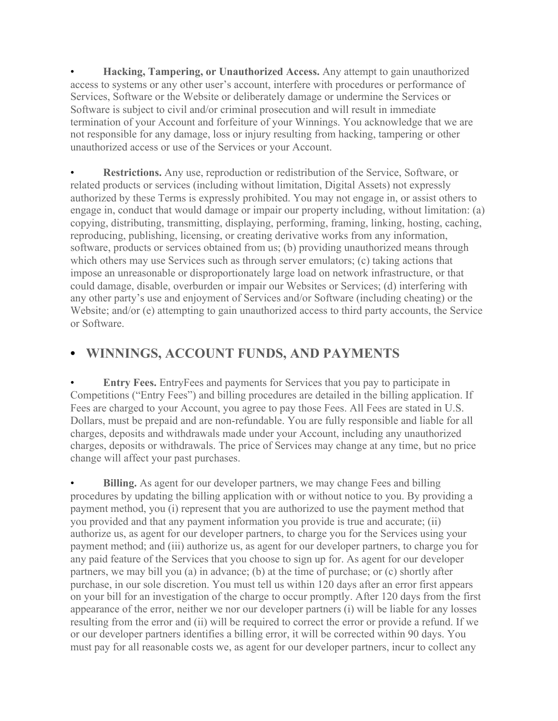• **Hacking, Tampering, or Unauthorized Access.** Any attempt to gain unauthorized access to systems or any other user's account, interfere with procedures or performance of Services, Software or the Website or deliberately damage or undermine the Services or Software is subject to civil and/or criminal prosecution and will result in immediate termination of your Account and forfeiture of your Winnings. You acknowledge that we are not responsible for any damage, loss or injury resulting from hacking, tampering or other unauthorized access or use of the Services or your Account.

• **Restrictions.** Any use, reproduction or redistribution of the Service, Software, or related products or services (including without limitation, Digital Assets) not expressly authorized by these Terms is expressly prohibited. You may not engage in, or assist others to engage in, conduct that would damage or impair our property including, without limitation: (a) copying, distributing, transmitting, displaying, performing, framing, linking, hosting, caching, reproducing, publishing, licensing, or creating derivative works from any information, software, products or services obtained from us; (b) providing unauthorized means through which others may use Services such as through server emulators; (c) taking actions that impose an unreasonable or disproportionately large load on network infrastructure, or that could damage, disable, overburden or impair our Websites or Services; (d) interfering with any other party's use and enjoyment of Services and/or Software (including cheating) or the Website; and/or (e) attempting to gain unauthorized access to third party accounts, the Service or Software.

### **• WINNINGS, ACCOUNT FUNDS, AND PAYMENTS**

• **Entry Fees.** EntryFees and payments for Services that you pay to participate in Competitions ("Entry Fees") and billing procedures are detailed in the billing application. If Fees are charged to your Account, you agree to pay those Fees. All Fees are stated in U.S. Dollars, must be prepaid and are non-refundable. You are fully responsible and liable for all charges, deposits and withdrawals made under your Account, including any unauthorized charges, deposits or withdrawals. The price of Services may change at any time, but no price change will affect your past purchases.

**Billing.** As agent for our developer partners, we may change Fees and billing procedures by updating the billing application with or without notice to you. By providing a payment method, you (i) represent that you are authorized to use the payment method that you provided and that any payment information you provide is true and accurate; (ii) authorize us, as agent for our developer partners, to charge you for the Services using your payment method; and (iii) authorize us, as agent for our developer partners, to charge you for any paid feature of the Services that you choose to sign up for. As agent for our developer partners, we may bill you (a) in advance; (b) at the time of purchase; or (c) shortly after purchase, in our sole discretion. You must tell us within 120 days after an error first appears on your bill for an investigation of the charge to occur promptly. After 120 days from the first appearance of the error, neither we nor our developer partners (i) will be liable for any losses resulting from the error and (ii) will be required to correct the error or provide a refund. If we or our developer partners identifies a billing error, it will be corrected within 90 days. You must pay for all reasonable costs we, as agent for our developer partners, incur to collect any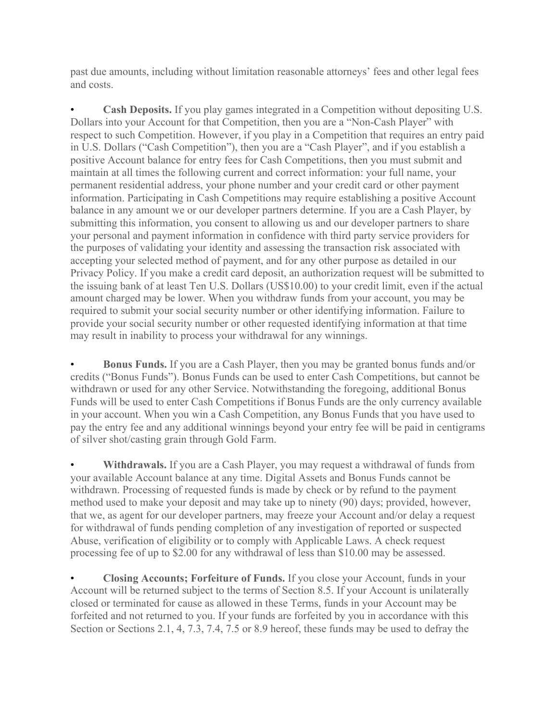past due amounts, including without limitation reasonable attorneys' fees and other legal fees and costs.

**Cash Deposits.** If you play games integrated in a Competition without depositing U.S. Dollars into your Account for that Competition, then you are a "Non-Cash Player" with respect to such Competition. However, if you play in a Competition that requires an entry paid in U.S. Dollars ("Cash Competition"), then you are a "Cash Player", and if you establish a positive Account balance for entry fees for Cash Competitions, then you must submit and maintain at all times the following current and correct information: your full name, your permanent residential address, your phone number and your credit card or other payment information. Participating in Cash Competitions may require establishing a positive Account balance in any amount we or our developer partners determine. If you are a Cash Player, by submitting this information, you consent to allowing us and our developer partners to share your personal and payment information in confidence with third party service providers for the purposes of validating your identity and assessing the transaction risk associated with accepting your selected method of payment, and for any other purpose as detailed in our Privacy Policy. If you make a credit card deposit, an authorization request will be submitted to the issuing bank of at least Ten U.S. Dollars (US\$10.00) to your credit limit, even if the actual amount charged may be lower. When you withdraw funds from your account, you may be required to submit your social security number or other identifying information. Failure to provide your social security number or other requested identifying information at that time may result in inability to process your withdrawal for any winnings.

• **Bonus Funds.** If you are a Cash Player, then you may be granted bonus funds and/or credits ("Bonus Funds"). Bonus Funds can be used to enter Cash Competitions, but cannot be withdrawn or used for any other Service. Notwithstanding the foregoing, additional Bonus Funds will be used to enter Cash Competitions if Bonus Funds are the only currency available in your account. When you win a Cash Competition, any Bonus Funds that you have used to pay the entry fee and any additional winnings beyond your entry fee will be paid in centigrams of silver shot/casting grain through Gold Farm.

Withdrawals. If you are a Cash Player, you may request a withdrawal of funds from your available Account balance at any time. Digital Assets and Bonus Funds cannot be withdrawn. Processing of requested funds is made by check or by refund to the payment method used to make your deposit and may take up to ninety (90) days; provided, however, that we, as agent for our developer partners, may freeze your Account and/or delay a request for withdrawal of funds pending completion of any investigation of reported or suspected Abuse, verification of eligibility or to comply with Applicable Laws. A check request processing fee of up to \$2.00 for any withdrawal of less than \$10.00 may be assessed.

• **Closing Accounts; Forfeiture of Funds.** If you close your Account, funds in your Account will be returned subject to the terms of Section 8.5. If your Account is unilaterally closed or terminated for cause as allowed in these Terms, funds in your Account may be forfeited and not returned to you. If your funds are forfeited by you in accordance with this Section or Sections 2.1, 4, 7.3, 7.4, 7.5 or 8.9 hereof, these funds may be used to defray the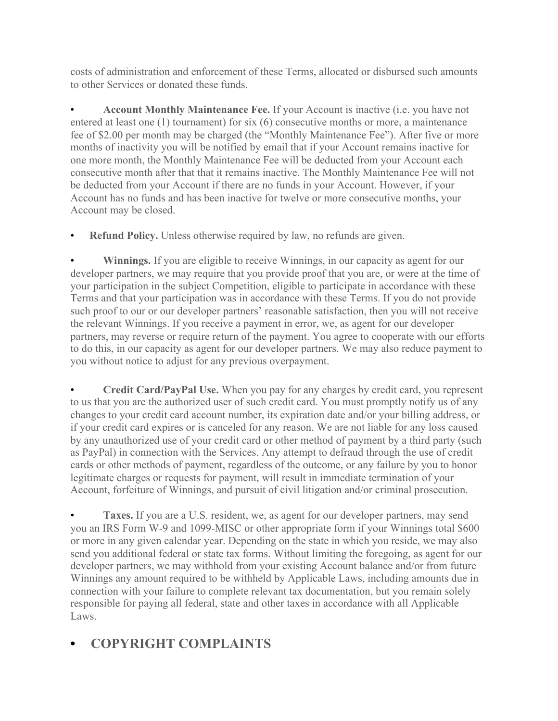costs of administration and enforcement of these Terms, allocated or disbursed such amounts to other Services or donated these funds.

• **Account Monthly Maintenance Fee.** If your Account is inactive (i.e. you have not entered at least one (1) tournament) for six (6) consecutive months or more, a maintenance fee of \$2.00 per month may be charged (the "Monthly Maintenance Fee"). After five or more months of inactivity you will be notified by email that if your Account remains inactive for one more month, the Monthly Maintenance Fee will be deducted from your Account each consecutive month after that that it remains inactive. The Monthly Maintenance Fee will not be deducted from your Account if there are no funds in your Account. However, if your Account has no funds and has been inactive for twelve or more consecutive months, your Account may be closed.

**Refund Policy.** Unless otherwise required by law, no refunds are given.

**Winnings.** If you are eligible to receive Winnings, in our capacity as agent for our developer partners, we may require that you provide proof that you are, or were at the time of your participation in the subject Competition, eligible to participate in accordance with these Terms and that your participation was in accordance with these Terms. If you do not provide such proof to our or our developer partners' reasonable satisfaction, then you will not receive the relevant Winnings. If you receive a payment in error, we, as agent for our developer partners, may reverse or require return of the payment. You agree to cooperate with our efforts to do this, in our capacity as agent for our developer partners. We may also reduce payment to you without notice to adjust for any previous overpayment.

• **Credit Card/PayPal Use.** When you pay for any charges by credit card, you represent to us that you are the authorized user of such credit card. You must promptly notify us of any changes to your credit card account number, its expiration date and/or your billing address, or if your credit card expires or is canceled for any reason. We are not liable for any loss caused by any unauthorized use of your credit card or other method of payment by a third party (such as PayPal) in connection with the Services. Any attempt to defraud through the use of credit cards or other methods of payment, regardless of the outcome, or any failure by you to honor legitimate charges or requests for payment, will result in immediate termination of your Account, forfeiture of Winnings, and pursuit of civil litigation and/or criminal prosecution.

• **Taxes.** If you are a U.S. resident, we, as agent for our developer partners, may send you an IRS Form W-9 and 1099-MISC or other appropriate form if your Winnings total \$600 or more in any given calendar year. Depending on the state in which you reside, we may also send you additional federal or state tax forms. Without limiting the foregoing, as agent for our developer partners, we may withhold from your existing Account balance and/or from future Winnings any amount required to be withheld by Applicable Laws, including amounts due in connection with your failure to complete relevant tax documentation, but you remain solely responsible for paying all federal, state and other taxes in accordance with all Applicable Laws.

# **• COPYRIGHT COMPLAINTS**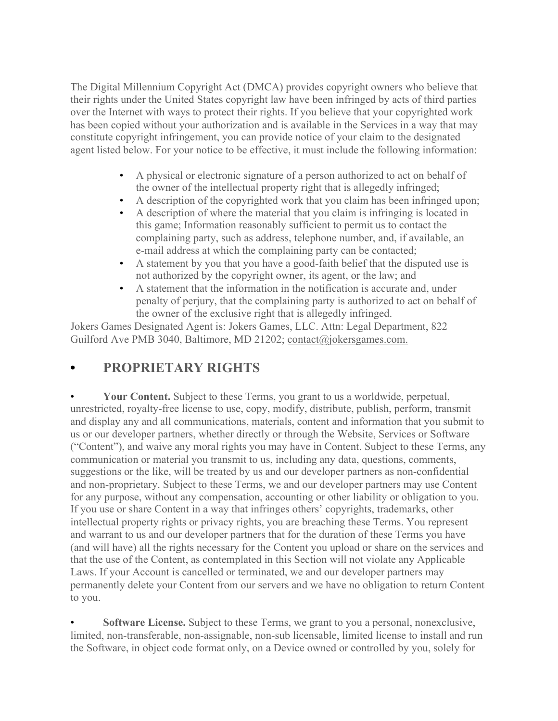The Digital Millennium Copyright Act (DMCA) provides copyright owners who believe that their rights under the United States copyright law have been infringed by acts of third parties over the Internet with ways to protect their rights. If you believe that your copyrighted work has been copied without your authorization and is available in the Services in a way that may constitute copyright infringement, you can provide notice of your claim to the designated agent listed below. For your notice to be effective, it must include the following information:

- A physical or electronic signature of a person authorized to act on behalf of the owner of the intellectual property right that is allegedly infringed;
- A description of the copyrighted work that you claim has been infringed upon;
- A description of where the material that you claim is infringing is located in this game; Information reasonably sufficient to permit us to contact the complaining party, such as address, telephone number, and, if available, an e-mail address at which the complaining party can be contacted;
- A statement by you that you have a good-faith belief that the disputed use is not authorized by the copyright owner, its agent, or the law; and
- A statement that the information in the notification is accurate and, under penalty of perjury, that the complaining party is authorized to act on behalf of the owner of the exclusive right that is allegedly infringed.

Jokers Games Designated Agent is: Jokers Games, LLC. Attn: Legal Department, 822 Guilford Ave PMB 3040, Baltimore, MD 21202; [contact@jokersgames.com.](mailto:contact@jokersgames.com)

## **• PROPRIETARY RIGHTS**

• **Your Content.** Subject to these Terms, you grant to us a worldwide, perpetual, unrestricted, royalty-free license to use, copy, modify, distribute, publish, perform, transmit and display any and all communications, materials, content and information that you submit to us or our developer partners, whether directly or through the Website, Services or Software ("Content"), and waive any moral rights you may have in Content. Subject to these Terms, any communication or material you transmit to us, including any data, questions, comments, suggestions or the like, will be treated by us and our developer partners as non-confidential and non-proprietary. Subject to these Terms, we and our developer partners may use Content for any purpose, without any compensation, accounting or other liability or obligation to you. If you use or share Content in a way that infringes others' copyrights, trademarks, other intellectual property rights or privacy rights, you are breaching these Terms. You represent and warrant to us and our developer partners that for the duration of these Terms you have (and will have) all the rights necessary for the Content you upload or share on the services and that the use of the Content, as contemplated in this Section will not violate any Applicable Laws. If your Account is cancelled or terminated, we and our developer partners may permanently delete your Content from our servers and we have no obligation to return Content to you.

**Software License.** Subject to these Terms, we grant to you a personal, nonexclusive, limited, non-transferable, non-assignable, non-sub licensable, limited license to install and run the Software, in object code format only, on a Device owned or controlled by you, solely for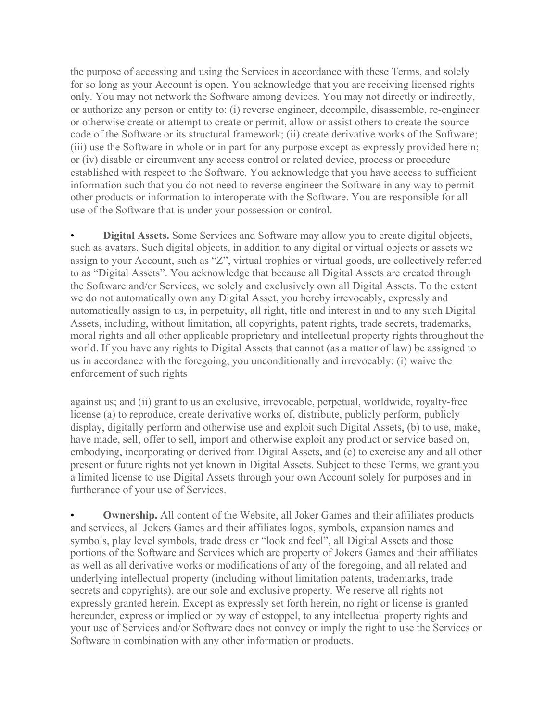the purpose of accessing and using the Services in accordance with these Terms, and solely for so long as your Account is open. You acknowledge that you are receiving licensed rights only. You may not network the Software among devices. You may not directly or indirectly, or authorize any person or entity to: (i) reverse engineer, decompile, disassemble, re-engineer or otherwise create or attempt to create or permit, allow or assist others to create the source code of the Software or its structural framework; (ii) create derivative works of the Software; (iii) use the Software in whole or in part for any purpose except as expressly provided herein; or (iv) disable or circumvent any access control or related device, process or procedure established with respect to the Software. You acknowledge that you have access to sufficient information such that you do not need to reverse engineer the Software in any way to permit other products or information to interoperate with the Software. You are responsible for all use of the Software that is under your possession or control.

• **Digital Assets.** Some Services and Software may allow you to create digital objects, such as avatars. Such digital objects, in addition to any digital or virtual objects or assets we assign to your Account, such as "Z", virtual trophies or virtual goods, are collectively referred to as "Digital Assets". You acknowledge that because all Digital Assets are created through the Software and/or Services, we solely and exclusively own all Digital Assets. To the extent we do not automatically own any Digital Asset, you hereby irrevocably, expressly and automatically assign to us, in perpetuity, all right, title and interest in and to any such Digital Assets, including, without limitation, all copyrights, patent rights, trade secrets, trademarks, moral rights and all other applicable proprietary and intellectual property rights throughout the world. If you have any rights to Digital Assets that cannot (as a matter of law) be assigned to us in accordance with the foregoing, you unconditionally and irrevocably: (i) waive the enforcement of such rights

against us; and (ii) grant to us an exclusive, irrevocable, perpetual, worldwide, royalty-free license (a) to reproduce, create derivative works of, distribute, publicly perform, publicly display, digitally perform and otherwise use and exploit such Digital Assets, (b) to use, make, have made, sell, offer to sell, import and otherwise exploit any product or service based on, embodying, incorporating or derived from Digital Assets, and (c) to exercise any and all other present or future rights not yet known in Digital Assets. Subject to these Terms, we grant you a limited license to use Digital Assets through your own Account solely for purposes and in furtherance of your use of Services.

**Ownership.** All content of the Website, all Joker Games and their affiliates products and services, all Jokers Games and their affiliates logos, symbols, expansion names and symbols, play level symbols, trade dress or "look and feel", all Digital Assets and those portions of the Software and Services which are property of Jokers Games and their affiliates as well as all derivative works or modifications of any of the foregoing, and all related and underlying intellectual property (including without limitation patents, trademarks, trade secrets and copyrights), are our sole and exclusive property. We reserve all rights not expressly granted herein. Except as expressly set forth herein, no right or license is granted hereunder, express or implied or by way of estoppel, to any intellectual property rights and your use of Services and/or Software does not convey or imply the right to use the Services or Software in combination with any other information or products.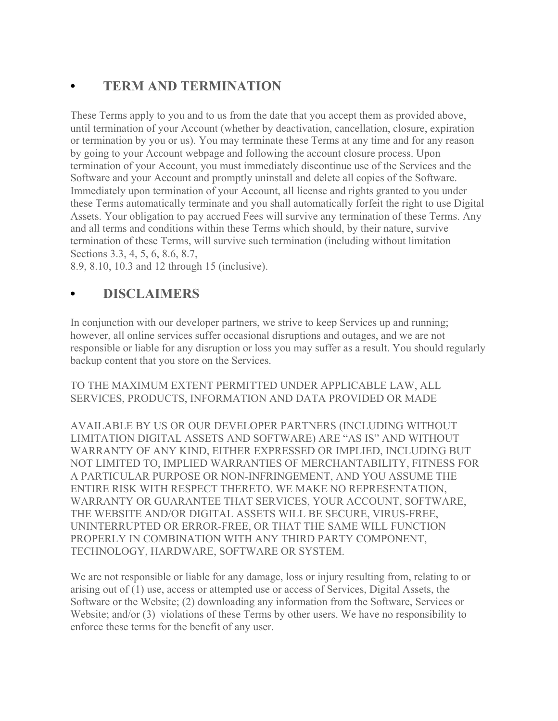# **• TERM AND TERMINATION**

These Terms apply to you and to us from the date that you accept them as provided above, until termination of your Account (whether by deactivation, cancellation, closure, expiration or termination by you or us). You may terminate these Terms at any time and for any reason by going to your Account webpage and following the account closure process. Upon termination of your Account, you must immediately discontinue use of the Services and the Software and your Account and promptly uninstall and delete all copies of the Software. Immediately upon termination of your Account, all license and rights granted to you under these Terms automatically terminate and you shall automatically forfeit the right to use Digital Assets. Your obligation to pay accrued Fees will survive any termination of these Terms. Any and all terms and conditions within these Terms which should, by their nature, survive termination of these Terms, will survive such termination (including without limitation Sections 3.3, 4, 5, 6, 8.6, 8.7,

8.9, 8.10, 10.3 and 12 through 15 (inclusive).

## **• DISCLAIMERS**

In conjunction with our developer partners, we strive to keep Services up and running; however, all online services suffer occasional disruptions and outages, and we are not responsible or liable for any disruption or loss you may suffer as a result. You should regularly backup content that you store on the Services.

#### TO THE MAXIMUM EXTENT PERMITTED UNDER APPLICABLE LAW, ALL SERVICES, PRODUCTS, INFORMATION AND DATA PROVIDED OR MADE

AVAILABLE BY US OR OUR DEVELOPER PARTNERS (INCLUDING WITHOUT LIMITATION DIGITAL ASSETS AND SOFTWARE) ARE "AS IS" AND WITHOUT WARRANTY OF ANY KIND, EITHER EXPRESSED OR IMPLIED, INCLUDING BUT NOT LIMITED TO, IMPLIED WARRANTIES OF MERCHANTABILITY, FITNESS FOR A PARTICULAR PURPOSE OR NON-INFRINGEMENT, AND YOU ASSUME THE ENTIRE RISK WITH RESPECT THERETO. WE MAKE NO REPRESENTATION, WARRANTY OR GUARANTEE THAT SERVICES, YOUR ACCOUNT, SOFTWARE, THE WEBSITE AND/OR DIGITAL ASSETS WILL BE SECURE, VIRUS-FREE, UNINTERRUPTED OR ERROR-FREE, OR THAT THE SAME WILL FUNCTION PROPERLY IN COMBINATION WITH ANY THIRD PARTY COMPONENT, TECHNOLOGY, HARDWARE, SOFTWARE OR SYSTEM.

We are not responsible or liable for any damage, loss or injury resulting from, relating to or arising out of (1) use, access or attempted use or access of Services, Digital Assets, the Software or the Website; (2) downloading any information from the Software, Services or Website; and/or (3) violations of these Terms by other users. We have no responsibility to enforce these terms for the benefit of any user.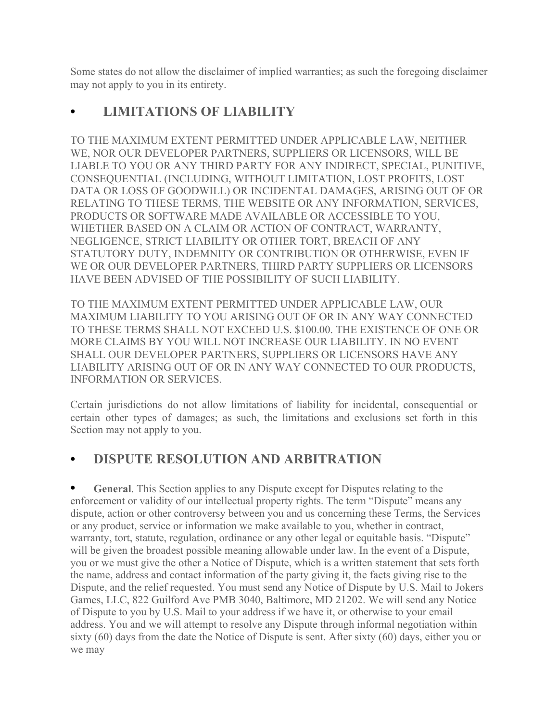Some states do not allow the disclaimer of implied warranties; as such the foregoing disclaimer may not apply to you in its entirety.

## **• LIMITATIONS OF LIABILITY**

TO THE MAXIMUM EXTENT PERMITTED UNDER APPLICABLE LAW, NEITHER WE, NOR OUR DEVELOPER PARTNERS, SUPPLIERS OR LICENSORS, WILL BE LIABLE TO YOU OR ANY THIRD PARTY FOR ANY INDIRECT, SPECIAL, PUNITIVE, CONSEQUENTIAL (INCLUDING, WITHOUT LIMITATION, LOST PROFITS, LOST DATA OR LOSS OF GOODWILL) OR INCIDENTAL DAMAGES, ARISING OUT OF OR RELATING TO THESE TERMS, THE WEBSITE OR ANY INFORMATION, SERVICES, PRODUCTS OR SOFTWARE MADE AVAILABLE OR ACCESSIBLE TO YOU, WHETHER BASED ON A CLAIM OR ACTION OF CONTRACT, WARRANTY, NEGLIGENCE, STRICT LIABILITY OR OTHER TORT, BREACH OF ANY STATUTORY DUTY, INDEMNITY OR CONTRIBUTION OR OTHERWISE, EVEN IF WE OR OUR DEVELOPER PARTNERS, THIRD PARTY SUPPLIERS OR LICENSORS HAVE BEEN ADVISED OF THE POSSIBILITY OF SUCH LIABILITY.

TO THE MAXIMUM EXTENT PERMITTED UNDER APPLICABLE LAW, OUR MAXIMUM LIABILITY TO YOU ARISING OUT OF OR IN ANY WAY CONNECTED TO THESE TERMS SHALL NOT EXCEED U.S. \$100.00. THE EXISTENCE OF ONE OR MORE CLAIMS BY YOU WILL NOT INCREASE OUR LIABILITY. IN NO EVENT SHALL OUR DEVELOPER PARTNERS, SUPPLIERS OR LICENSORS HAVE ANY LIABILITY ARISING OUT OF OR IN ANY WAY CONNECTED TO OUR PRODUCTS, INFORMATION OR SERVICES.

Certain jurisdictions do not allow limitations of liability for incidental, consequential or certain other types of damages; as such, the limitations and exclusions set forth in this Section may not apply to you.

# **• DISPUTE RESOLUTION AND ARBITRATION**

**• General**. This Section applies to any Dispute except for Disputes relating to the enforcement or validity of our intellectual property rights. The term "Dispute" means any dispute, action or other controversy between you and us concerning these Terms, the Services or any product, service or information we make available to you, whether in contract, warranty, tort, statute, regulation, ordinance or any other legal or equitable basis. "Dispute" will be given the broadest possible meaning allowable under law. In the event of a Dispute, you or we must give the other a Notice of Dispute, which is a written statement that sets forth the name, address and contact information of the party giving it, the facts giving rise to the Dispute, and the relief requested. You must send any Notice of Dispute by U.S. Mail to Jokers Games, LLC, 822 Guilford Ave PMB 3040, Baltimore, MD 21202. We will send any Notice of Dispute to you by U.S. Mail to your address if we have it, or otherwise to your email address. You and we will attempt to resolve any Dispute through informal negotiation within sixty (60) days from the date the Notice of Dispute is sent. After sixty (60) days, either you or we may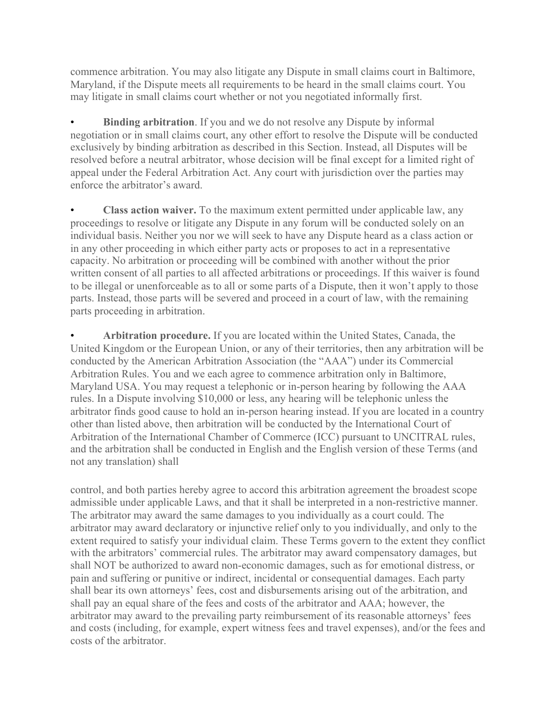commence arbitration. You may also litigate any Dispute in small claims court in Baltimore, Maryland, if the Dispute meets all requirements to be heard in the small claims court. You may litigate in small claims court whether or not you negotiated informally first.

**Binding arbitration**. If you and we do not resolve any Dispute by informal negotiation or in small claims court, any other effort to resolve the Dispute will be conducted exclusively by binding arbitration as described in this Section. Instead, all Disputes will be resolved before a neutral arbitrator, whose decision will be final except for a limited right of appeal under the Federal Arbitration Act. Any court with jurisdiction over the parties may enforce the arbitrator's award.

• **Class action waiver.** To the maximum extent permitted under applicable law, any proceedings to resolve or litigate any Dispute in any forum will be conducted solely on an individual basis. Neither you nor we will seek to have any Dispute heard as a class action or in any other proceeding in which either party acts or proposes to act in a representative capacity. No arbitration or proceeding will be combined with another without the prior written consent of all parties to all affected arbitrations or proceedings. If this waiver is found to be illegal or unenforceable as to all or some parts of a Dispute, then it won't apply to those parts. Instead, those parts will be severed and proceed in a court of law, with the remaining parts proceeding in arbitration.

• **Arbitration procedure.** If you are located within the United States, Canada, the United Kingdom or the European Union, or any of their territories, then any arbitration will be conducted by the American Arbitration Association (the "AAA") under its Commercial Arbitration Rules. You and we each agree to commence arbitration only in Baltimore, Maryland USA. You may request a telephonic or in-person hearing by following the AAA rules. In a Dispute involving \$10,000 or less, any hearing will be telephonic unless the arbitrator finds good cause to hold an in-person hearing instead. If you are located in a country other than listed above, then arbitration will be conducted by the International Court of Arbitration of the International Chamber of Commerce (ICC) pursuant to UNCITRAL rules, and the arbitration shall be conducted in English and the English version of these Terms (and not any translation) shall

control, and both parties hereby agree to accord this arbitration agreement the broadest scope admissible under applicable Laws, and that it shall be interpreted in a non-restrictive manner. The arbitrator may award the same damages to you individually as a court could. The arbitrator may award declaratory or injunctive relief only to you individually, and only to the extent required to satisfy your individual claim. These Terms govern to the extent they conflict with the arbitrators' commercial rules. The arbitrator may award compensatory damages, but shall NOT be authorized to award non-economic damages, such as for emotional distress, or pain and suffering or punitive or indirect, incidental or consequential damages. Each party shall bear its own attorneys' fees, cost and disbursements arising out of the arbitration, and shall pay an equal share of the fees and costs of the arbitrator and AAA; however, the arbitrator may award to the prevailing party reimbursement of its reasonable attorneys' fees and costs (including, for example, expert witness fees and travel expenses), and/or the fees and costs of the arbitrator.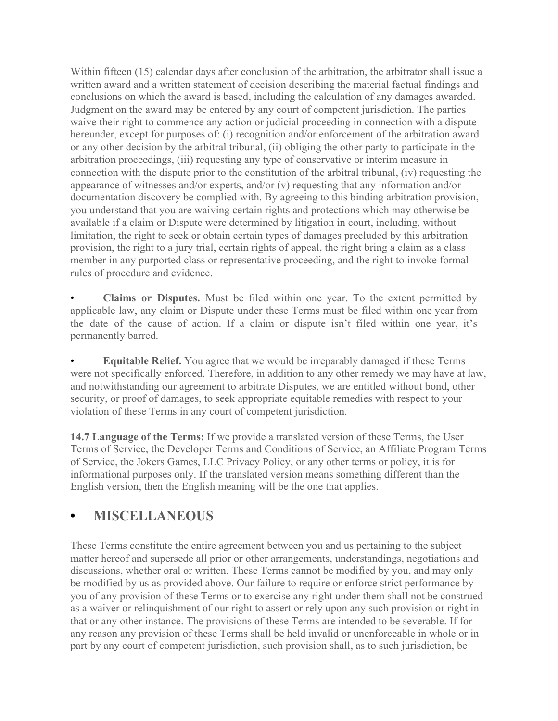Within fifteen (15) calendar days after conclusion of the arbitration, the arbitrator shall issue a written award and a written statement of decision describing the material factual findings and conclusions on which the award is based, including the calculation of any damages awarded. Judgment on the award may be entered by any court of competent jurisdiction. The parties waive their right to commence any action or judicial proceeding in connection with a dispute hereunder, except for purposes of: (i) recognition and/or enforcement of the arbitration award or any other decision by the arbitral tribunal, (ii) obliging the other party to participate in the arbitration proceedings, (iii) requesting any type of conservative or interim measure in connection with the dispute prior to the constitution of the arbitral tribunal, (iv) requesting the appearance of witnesses and/or experts, and/or (v) requesting that any information and/or documentation discovery be complied with. By agreeing to this binding arbitration provision, you understand that you are waiving certain rights and protections which may otherwise be available if a claim or Dispute were determined by litigation in court, including, without limitation, the right to seek or obtain certain types of damages precluded by this arbitration provision, the right to a jury trial, certain rights of appeal, the right bring a claim as a class member in any purported class or representative proceeding, and the right to invoke formal rules of procedure and evidence.

• **Claims or Disputes.** Must be filed within one year. To the extent permitted by applicable law, any claim or Dispute under these Terms must be filed within one year from the date of the cause of action. If a claim or dispute isn't filed within one year, it's permanently barred.

• **Equitable Relief.** You agree that we would be irreparably damaged if these Terms were not specifically enforced. Therefore, in addition to any other remedy we may have at law, and notwithstanding our agreement to arbitrate Disputes, we are entitled without bond, other security, or proof of damages, to seek appropriate equitable remedies with respect to your violation of these Terms in any court of competent jurisdiction.

**14.7 Language of the Terms:** If we provide a translated version of these Terms, the User Terms of Service, the Developer Terms and Conditions of Service, an Affiliate Program Terms of Service, the Jokers Games, LLC Privacy Policy, or any other terms or policy, it is for informational purposes only. If the translated version means something different than the English version, then the English meaning will be the one that applies.

#### **• MISCELLANEOUS**

These Terms constitute the entire agreement between you and us pertaining to the subject matter hereof and supersede all prior or other arrangements, understandings, negotiations and discussions, whether oral or written. These Terms cannot be modified by you, and may only be modified by us as provided above. Our failure to require or enforce strict performance by you of any provision of these Terms or to exercise any right under them shall not be construed as a waiver or relinquishment of our right to assert or rely upon any such provision or right in that or any other instance. The provisions of these Terms are intended to be severable. If for any reason any provision of these Terms shall be held invalid or unenforceable in whole or in part by any court of competent jurisdiction, such provision shall, as to such jurisdiction, be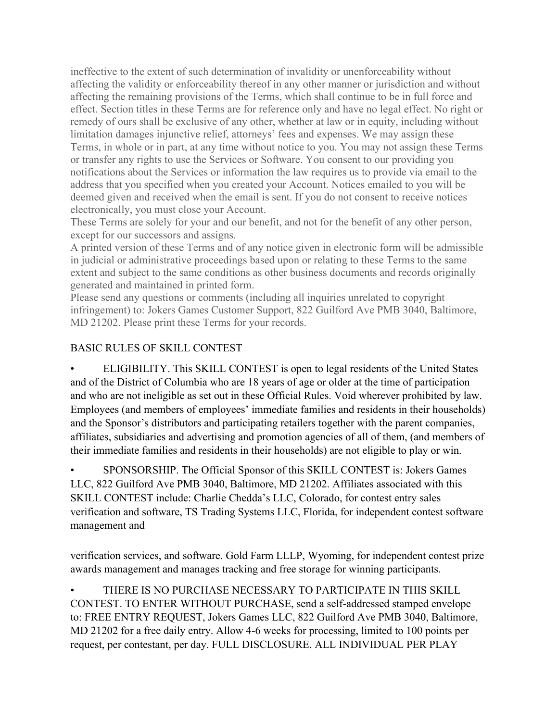ineffective to the extent of such determination of invalidity or unenforceability without affecting the validity or enforceability thereof in any other manner or jurisdiction and without affecting the remaining provisions of the Terms, which shall continue to be in full force and effect. Section titles in these Terms are for reference only and have no legal effect. No right or remedy of ours shall be exclusive of any other, whether at law or in equity, including without limitation damages injunctive relief, attorneys' fees and expenses. We may assign these Terms, in whole or in part, at any time without notice to you. You may not assign these Terms or transfer any rights to use the Services or Software. You consent to our providing you notifications about the Services or information the law requires us to provide via email to the address that you specified when you created your Account. Notices emailed to you will be deemed given and received when the email is sent. If you do not consent to receive notices electronically, you must close your Account.

These Terms are solely for your and our benefit, and not for the benefit of any other person, except for our successors and assigns.

A printed version of these Terms and of any notice given in electronic form will be admissible in judicial or administrative proceedings based upon or relating to these Terms to the same extent and subject to the same conditions as other business documents and records originally generated and maintained in printed form.

Please send any questions or comments (including all inquiries unrelated to copyright infringement) to: Jokers Games Customer Support, 822 Guilford Ave PMB 3040, Baltimore, MD 21202. Please print these Terms for your records.

#### BASIC RULES OF SKILL CONTEST

• ELIGIBILITY. This SKILL CONTEST is open to legal residents of the United States and of the District of Columbia who are 18 years of age or older at the time of participation and who are not ineligible as set out in these Official Rules. Void wherever prohibited by law. Employees (and members of employees' immediate families and residents in their households) and the Sponsor's distributors and participating retailers together with the parent companies, affiliates, subsidiaries and advertising and promotion agencies of all of them, (and members of their immediate families and residents in their households) are not eligible to play or win.

• SPONSORSHIP. The Official Sponsor of this SKILL CONTEST is: Jokers Games LLC, 822 Guilford Ave PMB 3040, Baltimore, MD 21202. Affiliates associated with this SKILL CONTEST include: Charlie Chedda's LLC, Colorado, for contest entry sales verification and software, TS Trading Systems LLC, Florida, for independent contest software management and

verification services, and software. Gold Farm LLLP, Wyoming, for independent contest prize awards management and manages tracking and free storage for winning participants.

• THERE IS NO PURCHASE NECESSARY TO PARTICIPATE IN THIS SKILL CONTEST. TO ENTER WITHOUT PURCHASE, send a self-addressed stamped envelope to: FREE ENTRY REQUEST, Jokers Games LLC, 822 Guilford Ave PMB 3040, Baltimore, MD 21202 for a free daily entry. Allow 4-6 weeks for processing, limited to 100 points per request, per contestant, per day. FULL DISCLOSURE. ALL INDIVIDUAL PER PLAY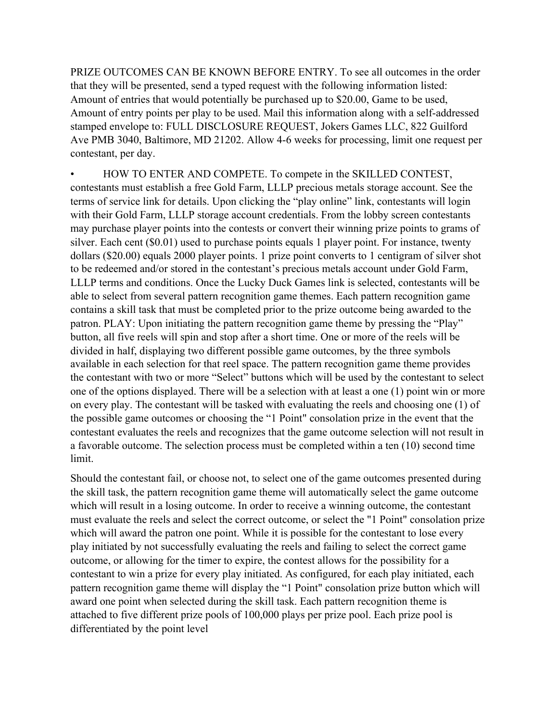PRIZE OUTCOMES CAN BE KNOWN BEFORE ENTRY. To see all outcomes in the order that they will be presented, send a typed request with the following information listed: Amount of entries that would potentially be purchased up to \$20.00, Game to be used, Amount of entry points per play to be used. Mail this information along with a self-addressed stamped envelope to: FULL DISCLOSURE REQUEST, Jokers Games LLC, 822 Guilford Ave PMB 3040, Baltimore, MD 21202. Allow 4-6 weeks for processing, limit one request per contestant, per day.

• HOW TO ENTER AND COMPETE. To compete in the SKILLED CONTEST, contestants must establish a free Gold Farm, LLLP precious metals storage account. See the terms of service link for details. Upon clicking the "play online" link, contestants will login with their Gold Farm, LLLP storage account credentials. From the lobby screen contestants may purchase player points into the contests or convert their winning prize points to grams of silver. Each cent (\$0.01) used to purchase points equals 1 player point. For instance, twenty dollars (\$20.00) equals 2000 player points. 1 prize point converts to 1 centigram of silver shot to be redeemed and/or stored in the contestant's precious metals account under Gold Farm, LLLP terms and conditions. Once the Lucky Duck Games link is selected, contestants will be able to select from several pattern recognition game themes. Each pattern recognition game contains a skill task that must be completed prior to the prize outcome being awarded to the patron. PLAY: Upon initiating the pattern recognition game theme by pressing the "Play" button, all five reels will spin and stop after a short time. One or more of the reels will be divided in half, displaying two different possible game outcomes, by the three symbols available in each selection for that reel space. The pattern recognition game theme provides the contestant with two or more "Select" buttons which will be used by the contestant to select one of the options displayed. There will be a selection with at least a one (1) point win or more on every play. The contestant will be tasked with evaluating the reels and choosing one (1) of the possible game outcomes or choosing the "1 Point" consolation prize in the event that the contestant evaluates the reels and recognizes that the game outcome selection will not result in a favorable outcome. The selection process must be completed within a ten (10) second time limit.

Should the contestant fail, or choose not, to select one of the game outcomes presented during the skill task, the pattern recognition game theme will automatically select the game outcome which will result in a losing outcome. In order to receive a winning outcome, the contestant must evaluate the reels and select the correct outcome, or select the "1 Point" consolation prize which will award the patron one point. While it is possible for the contestant to lose every play initiated by not successfully evaluating the reels and failing to select the correct game outcome, or allowing for the timer to expire, the contest allows for the possibility for a contestant to win a prize for every play initiated. As configured, for each play initiated, each pattern recognition game theme will display the "1 Point" consolation prize button which will award one point when selected during the skill task. Each pattern recognition theme is attached to five different prize pools of 100,000 plays per prize pool. Each prize pool is differentiated by the point level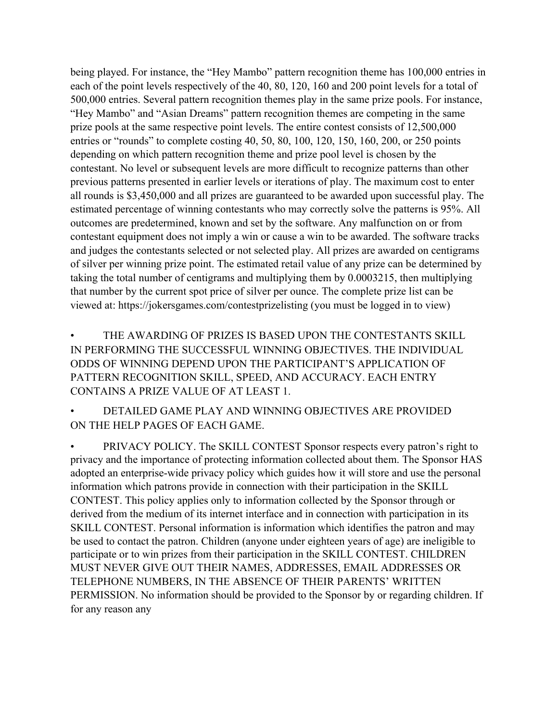being played. For instance, the "Hey Mambo" pattern recognition theme has 100,000 entries in each of the point levels respectively of the 40, 80, 120, 160 and 200 point levels for a total of 500,000 entries. Several pattern recognition themes play in the same prize pools. For instance, "Hey Mambo" and "Asian Dreams" pattern recognition themes are competing in the same prize pools at the same respective point levels. The entire contest consists of 12,500,000 entries or "rounds" to complete costing 40, 50, 80, 100, 120, 150, 160, 200, or 250 points depending on which pattern recognition theme and prize pool level is chosen by the contestant. No level or subsequent levels are more difficult to recognize patterns than other previous patterns presented in earlier levels or iterations of play. The maximum cost to enter all rounds is \$3,450,000 and all prizes are guaranteed to be awarded upon successful play. The estimated percentage of winning contestants who may correctly solve the patterns is 95%. All outcomes are predetermined, known and set by the software. Any malfunction on or from contestant equipment does not imply a win or cause a win to be awarded. The software tracks and judges the contestants selected or not selected play. All prizes are awarded on centigrams of silver per winning prize point. The estimated retail value of any prize can be determined by taking the total number of centigrams and multiplying them by 0.0003215, then multiplying that number by the current spot price of silver per ounce. The complete prize list can be viewed at: https://jokersgames.com/contestprizelisting (you must be logged in to view)

THE AWARDING OF PRIZES IS BASED UPON THE CONTESTANTS SKILL IN PERFORMING THE SUCCESSFUL WINNING OBJECTIVES. THE INDIVIDUAL ODDS OF WINNING DEPEND UPON THE PARTICIPANT'S APPLICATION OF PATTERN RECOGNITION SKILL, SPEED, AND ACCURACY. EACH ENTRY CONTAINS A PRIZE VALUE OF AT LEAST 1.

• DETAILED GAME PLAY AND WINNING OBJECTIVES ARE PROVIDED ON THE HELP PAGES OF EACH GAME.

• PRIVACY POLICY. The SKILL CONTEST Sponsor respects every patron's right to privacy and the importance of protecting information collected about them. The Sponsor HAS adopted an enterprise-wide privacy policy which guides how it will store and use the personal information which patrons provide in connection with their participation in the SKILL CONTEST. This policy applies only to information collected by the Sponsor through or derived from the medium of its internet interface and in connection with participation in its SKILL CONTEST. Personal information is information which identifies the patron and may be used to contact the patron. Children (anyone under eighteen years of age) are ineligible to participate or to win prizes from their participation in the SKILL CONTEST. CHILDREN MUST NEVER GIVE OUT THEIR NAMES, ADDRESSES, EMAIL ADDRESSES OR TELEPHONE NUMBERS, IN THE ABSENCE OF THEIR PARENTS' WRITTEN PERMISSION. No information should be provided to the Sponsor by or regarding children. If for any reason any